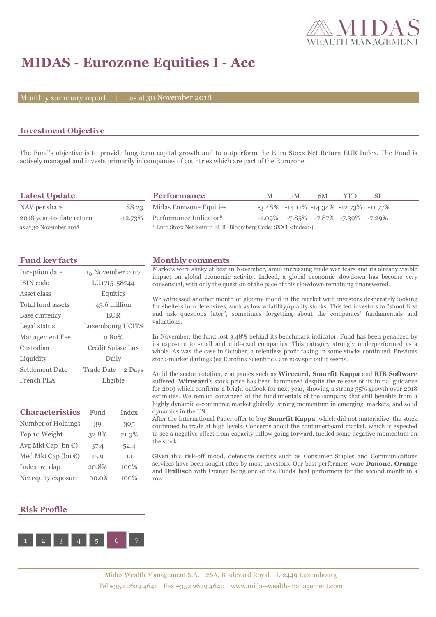

## **MIDAS - Eurozone Equities I - Acc**

Monthly summary report | as at 30 November 2018

## **Investment Objective**

The Fund's objective is to provide long-term capital growth and to outperform the Euro Stoxx Net Return EUR Index. The Fund is actively managed and invests primarily in companies of countries which are part of the Eurozone.

| <b>Latest Update</b>     | <b>Performance</b>                                                 | 1M | 3M | 6M | YTD.                                                  | -SI |
|--------------------------|--------------------------------------------------------------------|----|----|----|-------------------------------------------------------|-----|
| NAV per share            | 88.23 Midas Eurozone Equities                                      |    |    |    | $-3.48\%$ $-14.11\%$ $-14.34\%$ $-12.73\%$ $-11.77\%$ |     |
| 2018 year-to-date return | -12.73% Performance Indicator*                                     |    |    |    | $-1.09\%$ $-7.85\%$ $-7.87\%$ $-7.39\%$ $-7.29\%$     |     |
| as at 30 November 2018   | * Euro Stoxx Net Return EUR (Bloomberg Code: SXXT <index>)</index> |    |    |    |                                                       |     |

## **Fund key facts Monthly comments**

| Inception date<br>15 November 2017            |                   |       | Markets were shaky at best in November, amid increasing trade war fears and its already visible<br>impact on global economic activity. Indeed, a global economic slowdown has become very                                                                                                                                                                                                    |  |  |  |  |  |
|-----------------------------------------------|-------------------|-------|----------------------------------------------------------------------------------------------------------------------------------------------------------------------------------------------------------------------------------------------------------------------------------------------------------------------------------------------------------------------------------------------|--|--|--|--|--|
| <b>ISIN</b> code                              | LU1715158744      |       | consensual, with only the question of the pace of this slowdown remaining unanswered.                                                                                                                                                                                                                                                                                                        |  |  |  |  |  |
| Asset class                                   | Equities          |       | We witnessed another month of gloomy mood in the market with investors desperately looking                                                                                                                                                                                                                                                                                                   |  |  |  |  |  |
| Total fund assets                             | 43.6 million      |       | for shelters into defensives, such as low volatility/quality stocks. This led investors to "shoot first"<br>and ask questions later", sometimes forgetting about the companies' fundamentals and                                                                                                                                                                                             |  |  |  |  |  |
| Base currency                                 | <b>EUR</b>        |       |                                                                                                                                                                                                                                                                                                                                                                                              |  |  |  |  |  |
| Legal status                                  | Luxembourg UCITS  |       | valuations.                                                                                                                                                                                                                                                                                                                                                                                  |  |  |  |  |  |
| Management Fee                                | 0.80%             |       | In November, the fund lost 3.48% behind its benchmark indicator. Fund has been penalized by                                                                                                                                                                                                                                                                                                  |  |  |  |  |  |
| Custodian                                     | Crédit Suisse Lux |       | its exposure to small and mid-sized companies. This category strongly underperformed as a<br>whole. As was the case in October, a relentless profit taking in some stocks continued. Previous                                                                                                                                                                                                |  |  |  |  |  |
| Liquidity                                     | Daily             |       | stock-market darlings (eg Eurofins Scientific), are now spit out it seems.                                                                                                                                                                                                                                                                                                                   |  |  |  |  |  |
| <b>Settlement Date</b><br>Trade Date + 2 Days |                   |       | Amid the sector rotation, companies such as <b>Wirecard, Smurfit Kappa</b> and <b>RIB Software</b>                                                                                                                                                                                                                                                                                           |  |  |  |  |  |
| French PEA<br>Eligible                        |                   |       | suffered. Wirecard's stock price has been hammered despite the release of its initial guidance<br>for 2019 which confirms a bright outlook for next year, showing a strong 35% growth over 2018<br>estimates. We remain convinced of the fundamentals of the company that still benefits from a<br>highly dynamic e-commerce market globally, strong momentum in emerging markets, and solid |  |  |  |  |  |
| <b>Characteristics</b>                        | Fund              | Index | dynamics in the US.                                                                                                                                                                                                                                                                                                                                                                          |  |  |  |  |  |
| Number of Holdings                            | 39                | 305   | After the International Paper offer to buy <b>Smurfit Kappa</b> , which did not materialise, the stock<br>continued to trade at high levels. Concerns about the containerboard market, which is expected                                                                                                                                                                                     |  |  |  |  |  |
| Top 10 Weight                                 | 32.8%             | 21.3% | to see a negative effect from capacity inflow going forward, fuelled some negative momentum on                                                                                                                                                                                                                                                                                               |  |  |  |  |  |
| Avg Mkt Cap (bn $\mathbb{C}$ )                | 37.4              | 52.4  | the stock.                                                                                                                                                                                                                                                                                                                                                                                   |  |  |  |  |  |
| Med Mkt Cap (bn $\mathbb{C}$ )                | 15.9              | 11.0  | Given this risk-off mood, defensive sectors such as Consumer Staples and Communications                                                                                                                                                                                                                                                                                                      |  |  |  |  |  |
| Index overlap                                 | 20.8%<br>100%     |       | services have been sought after by most investors. Our best performers were <b>Danone</b> , <b>Orange</b><br>and <b>Drillisch</b> with Orange being one of the Funds' best performers for the second month in a                                                                                                                                                                              |  |  |  |  |  |
| Net equity exposure                           | 100.0%            | 100%  | row.                                                                                                                                                                                                                                                                                                                                                                                         |  |  |  |  |  |

#### **Risk Profile**